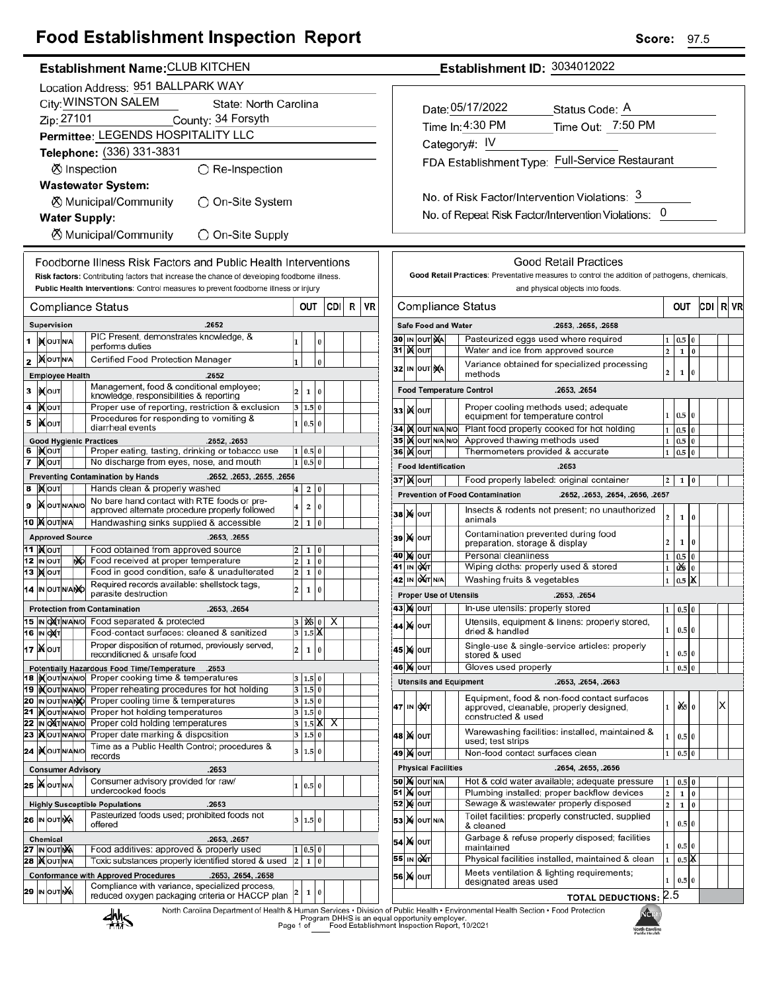## **Food Establishment Inspection Report**

### Establishment Name: CLUB KITCHEN

|                                                  | Location Address: 951 BALLPARK WAY                                                   |                                              |  |    |                                                                                                                      |                         |                   |           |     |   |    |  |
|--------------------------------------------------|--------------------------------------------------------------------------------------|----------------------------------------------|--|----|----------------------------------------------------------------------------------------------------------------------|-------------------------|-------------------|-----------|-----|---|----|--|
|                                                  | City: WINSTON SALEM<br>State: North Carolina                                         |                                              |  |    |                                                                                                                      |                         |                   |           |     |   |    |  |
|                                                  | Zip: 27101<br>County: 34 Forsyth                                                     |                                              |  |    |                                                                                                                      |                         |                   |           |     |   |    |  |
|                                                  | Permittee: LEGENDS HOSPITALITY LLC                                                   |                                              |  |    |                                                                                                                      |                         |                   |           |     |   |    |  |
|                                                  |                                                                                      |                                              |  |    | Telephone: (336) 331-3831                                                                                            |                         |                   |           |     |   |    |  |
|                                                  | <b>Ø</b> Inspection<br>$\bigcirc$ Re-Inspection                                      |                                              |  |    |                                                                                                                      |                         |                   |           |     |   |    |  |
|                                                  |                                                                                      |                                              |  |    | <b>Wastewater System:</b>                                                                                            |                         |                   |           |     |   |    |  |
|                                                  | <b><math>\oslash</math> Municipal/Community</b><br>◯ On-Site System                  |                                              |  |    |                                                                                                                      |                         |                   |           |     |   |    |  |
| <b>Water Supply:</b>                             |                                                                                      |                                              |  |    |                                                                                                                      |                         |                   |           |     |   |    |  |
| <b>8</b> Municipal/Community<br>◯ On-Site Supply |                                                                                      |                                              |  |    |                                                                                                                      |                         |                   |           |     |   |    |  |
|                                                  | Foodborne Illness Risk Factors and Public Health Interventions                       |                                              |  |    |                                                                                                                      |                         |                   |           |     |   |    |  |
|                                                  |                                                                                      |                                              |  |    | Risk factors: Contributing factors that increase the chance of developing foodborne illness.                         |                         |                   |           |     |   |    |  |
|                                                  | Public Health Interventions: Control measures to prevent foodborne illness or injury |                                              |  |    |                                                                                                                      |                         |                   |           |     |   |    |  |
|                                                  |                                                                                      |                                              |  |    | Compliance Status                                                                                                    | OUT                     |                   |           | CDI | R | VR |  |
|                                                  |                                                                                      | Supervision                                  |  |    | .2652                                                                                                                |                         |                   |           |     |   |    |  |
| 1                                                |                                                                                      | <b>IN</b> OUT N/A                            |  |    | PIC Present, demonstrates knowledge, &<br>performs duties                                                            | 1                       |                   | 0         |     |   |    |  |
| 2                                                |                                                                                      | <b>IX</b> OUTINA                             |  |    | Certified Food Protection Manager                                                                                    | 1                       |                   | $\bf{0}$  |     |   |    |  |
|                                                  |                                                                                      | <b>Employee Health</b>                       |  |    | .2652                                                                                                                |                         |                   |           |     |   |    |  |
| з                                                |                                                                                      | <b>XOUT</b>                                  |  |    | Management, food & conditional employee;<br>knowledge, responsibilities & reporting                                  | 2                       | 1                 | 0         |     |   |    |  |
| 4                                                |                                                                                      | ∣) <b>X</b> ∣оυт                             |  |    | Proper use of reporting, restriction & exclusion<br>Procedures for responding to vomiting &                          | 3                       | $1.5\,$           | 0         |     |   |    |  |
| 5                                                |                                                                                      | liX∣oυт                                      |  |    | diarrheal events                                                                                                     | 1                       | 0.5               | $\bf{0}$  |     |   |    |  |
|                                                  |                                                                                      | 6  )Х∣о∪т                                    |  |    | <b>Good Hygienic Practices</b><br>.2652, .2653<br>Proper eating, tasting, drinking or tobacco use                    | 1                       | 0.5               | 0         |     |   |    |  |
| 7                                                |                                                                                      | <b>X</b> OUT                                 |  |    | No discharge from eyes, nose, and mouth                                                                              | 1                       | 0.5               | $\bf{0}$  |     |   |    |  |
|                                                  |                                                                                      |                                              |  |    | <b>Preventing Contamination by Hands</b><br>.2652, .2653, .2655, .2656                                               |                         |                   |           |     |   |    |  |
| 8                                                |                                                                                      | <b>XOUT</b>                                  |  |    | Hands clean & properly washed<br>No bare hand contact with RTE foods or pre-                                         | 4                       | 2                 | 0         |     |   |    |  |
| 9                                                |                                                                                      | <b>X</b> OUTNANO                             |  |    | approved alternate procedure properly followed                                                                       | 4                       | 2                 | 0         |     |   |    |  |
|                                                  |                                                                                      | 10 MOUTNA                                    |  |    | Handwashing sinks supplied & accessible                                                                              | 2                       | 1                 | 0         |     |   |    |  |
|                                                  |                                                                                      | <b>Approved Source</b><br>11  ) <b>(</b> ouт |  |    | .2653, .2655<br>Food obtained from approved source                                                                   | 2                       | 1                 | 0         |     |   |    |  |
|                                                  |                                                                                      | 12 IN OUT                                    |  | МÞ | Food received at proper temperature                                                                                  | 2                       | 1                 | 0         |     |   |    |  |
|                                                  |                                                                                      | 13   <b>)(</b>  оит                          |  |    | Food in good condition, safe & unadulterated<br>Required records available: shellstock tags,                         | 2                       | 1                 | 0         |     |   |    |  |
|                                                  |                                                                                      | 14 IN OUTNANO                                |  |    | parasite destruction                                                                                                 | 2                       | 1                 | $\bf{0}$  |     |   |    |  |
|                                                  |                                                                                      |                                              |  |    | <b>Protection from Contamination</b><br>.2653, .2654                                                                 |                         |                   |           |     |   |    |  |
|                                                  |                                                                                      | 15  IN OXT N/AN/O<br><b>16 IN OXT</b>        |  |    | Food separated & protected<br>Food-contact surfaces: cleaned & sanitized                                             |                         | 125<br>3 $ 1.5 X$ | 0         | х   |   |    |  |
|                                                  |                                                                                      | 17   Мо <b>ит</b>                            |  |    | Proper disposition of returned, previously served,<br>reconditioned & unsafe food                                    | 2                       | 1                 | $\pmb{0}$ |     |   |    |  |
|                                                  |                                                                                      |                                              |  |    | Potentially Hazardous Food Time/Temperature .2653                                                                    |                         |                   |           |     |   |    |  |
|                                                  |                                                                                      | 18  IX OUT N/AN/O                            |  |    | Proper cooking time & temperatures                                                                                   |                         | 3 1.5 0           |           |     |   |    |  |
|                                                  |                                                                                      | 19   OUT NANO<br>20 IN OUT N/ANO             |  |    | Proper reheating procedures for hot holding<br>Proper cooling time & temperatures                                    | 3<br>3                  | 1.5 0<br>$1.5$ 0  |           |     |   |    |  |
|                                                  |                                                                                      | 21   OUTNANO                                 |  |    | Proper hot holding temperatures<br>Proper cold holding temperatures                                                  | 3                       | 1.5 0             |           |     |   |    |  |
|                                                  |                                                                                      | 22 IN OXTNANO<br>23   OUTNANO                |  |    | Proper date marking & disposition                                                                                    | 3<br>3                  | $1.5$ X<br>1.5    | 0         | х   |   |    |  |
|                                                  |                                                                                      | 24  KOUTNANO                                 |  |    | Time as a Public Health Control; procedures &<br>records                                                             | 3                       | 1.5               | $\bf{0}$  |     |   |    |  |
|                                                  |                                                                                      |                                              |  |    | .2653<br><b>Consumer Advisory</b>                                                                                    |                         |                   |           |     |   |    |  |
|                                                  |                                                                                      | 25 WOUTNA                                    |  |    | Consumer advisory provided for raw/                                                                                  |                         | 1 0.5             | $\bf{0}$  |     |   |    |  |
|                                                  |                                                                                      |                                              |  |    | undercooked foods<br><b>Highly Susceptible Populations</b><br>.2653                                                  |                         |                   |           |     |   |    |  |
|                                                  |                                                                                      | <b>26 IN OUT NA</b>                          |  |    | Pasteurized foods used; prohibited foods not                                                                         | 3                       | 1.5               | $\bf{0}$  |     |   |    |  |
|                                                  |                                                                                      | <b>Chemical</b>                              |  |    | offered<br>.2653, .2657                                                                                              |                         |                   |           |     |   |    |  |
|                                                  |                                                                                      | <b>27 IN OUT NA</b>                          |  |    | Food additives: approved & properly used                                                                             | 1                       | 0.5               | 0         |     |   |    |  |
|                                                  |                                                                                      | <b>28  ) (</b> OUT N/A                       |  |    | Toxic substances properly identified stored & used                                                                   | $\overline{\mathbf{c}}$ | 1                 | 0         |     |   |    |  |
|                                                  |                                                                                      | 29 IN OUTINA                                 |  |    | <b>Conformance with Approved Procedures</b><br>.2653, .2654, .2658<br>Compliance with variance, specialized process, |                         |                   |           |     |   |    |  |
|                                                  |                                                                                      |                                              |  |    | reduced oxygen packaging criteria or HACCP plan<br>North Carolina Department of Health & Human Services . Division   | 2                       | 1                 | $\pmb{0}$ |     |   |    |  |

Establishment ID: 3034012022

| Date: 05/17/2022                                | Status Code: A    |  |  |  |  |  |  |  |  |
|-------------------------------------------------|-------------------|--|--|--|--|--|--|--|--|
| Time In: 4:30 PM                                | Time Out: 7:50 PM |  |  |  |  |  |  |  |  |
| Category#: IV                                   |                   |  |  |  |  |  |  |  |  |
| FDA Establishment Type: Full-Service Restaurant |                   |  |  |  |  |  |  |  |  |
|                                                 |                   |  |  |  |  |  |  |  |  |

No. of Risk Factor/Intervention Violations: 3 No. of Repeat Risk Factor/Intervention Violations: 0

|                                 |        |                                                                                  | Good Retail Practices: Preventative measures to control the addition of pathogens, chemicals,<br>and physical objects into foods. |                                                                                                                                                                                                                                                                                                                                                                                                                                                                                                                                                                                                                                                                      |                                                                                       |                                      |                                                                                                    |   |    |
|---------------------------------|--------|----------------------------------------------------------------------------------|-----------------------------------------------------------------------------------------------------------------------------------|----------------------------------------------------------------------------------------------------------------------------------------------------------------------------------------------------------------------------------------------------------------------------------------------------------------------------------------------------------------------------------------------------------------------------------------------------------------------------------------------------------------------------------------------------------------------------------------------------------------------------------------------------------------------|---------------------------------------------------------------------------------------|--------------------------------------|----------------------------------------------------------------------------------------------------|---|----|
|                                 |        |                                                                                  |                                                                                                                                   |                                                                                                                                                                                                                                                                                                                                                                                                                                                                                                                                                                                                                                                                      |                                                                                       |                                      |                                                                                                    |   |    |
|                                 |        |                                                                                  | Compliance Status                                                                                                                 | OUT                                                                                                                                                                                                                                                                                                                                                                                                                                                                                                                                                                                                                                                                  |                                                                                       |                                      | CDI                                                                                                | R | VR |
|                                 |        | <b>Safe Food and Water</b>                                                       | .2653, .2655, .2658                                                                                                               |                                                                                                                                                                                                                                                                                                                                                                                                                                                                                                                                                                                                                                                                      |                                                                                       |                                      |                                                                                                    |   |    |
| IN OUT                          | ŅA     |                                                                                  | Pasteurized eggs used where required                                                                                              |                                                                                                                                                                                                                                                                                                                                                                                                                                                                                                                                                                                                                                                                      | 0.5                                                                                   | 0                                    |                                                                                                    |   |    |
| јХ∣оυт                          |        |                                                                                  | Water and ice from approved source                                                                                                | 2                                                                                                                                                                                                                                                                                                                                                                                                                                                                                                                                                                                                                                                                    | 1                                                                                     | $\bf{0}$                             |                                                                                                    |   |    |
| IN OUT NA                       |        |                                                                                  | Variance obtained for specialized processing<br>methods                                                                           | 2                                                                                                                                                                                                                                                                                                                                                                                                                                                                                                                                                                                                                                                                    | 1                                                                                     | 0                                    |                                                                                                    |   |    |
| <b>Food Temperature Control</b> |        |                                                                                  |                                                                                                                                   |                                                                                                                                                                                                                                                                                                                                                                                                                                                                                                                                                                                                                                                                      |                                                                                       |                                      |                                                                                                    |   |    |
| OUT                             |        |                                                                                  | Proper cooling methods used; adequate                                                                                             |                                                                                                                                                                                                                                                                                                                                                                                                                                                                                                                                                                                                                                                                      |                                                                                       |                                      |                                                                                                    |   |    |
|                                 |        |                                                                                  |                                                                                                                                   |                                                                                                                                                                                                                                                                                                                                                                                                                                                                                                                                                                                                                                                                      |                                                                                       |                                      |                                                                                                    |   |    |
|                                 |        |                                                                                  |                                                                                                                                   |                                                                                                                                                                                                                                                                                                                                                                                                                                                                                                                                                                                                                                                                      |                                                                                       |                                      |                                                                                                    |   |    |
|                                 |        |                                                                                  |                                                                                                                                   |                                                                                                                                                                                                                                                                                                                                                                                                                                                                                                                                                                                                                                                                      |                                                                                       |                                      |                                                                                                    |   |    |
|                                 |        |                                                                                  |                                                                                                                                   |                                                                                                                                                                                                                                                                                                                                                                                                                                                                                                                                                                                                                                                                      |                                                                                       |                                      |                                                                                                    |   |    |
|                                 |        |                                                                                  |                                                                                                                                   |                                                                                                                                                                                                                                                                                                                                                                                                                                                                                                                                                                                                                                                                      |                                                                                       |                                      |                                                                                                    |   |    |
|                                 |        |                                                                                  |                                                                                                                                   |                                                                                                                                                                                                                                                                                                                                                                                                                                                                                                                                                                                                                                                                      |                                                                                       |                                      |                                                                                                    |   |    |
|                                 |        |                                                                                  |                                                                                                                                   |                                                                                                                                                                                                                                                                                                                                                                                                                                                                                                                                                                                                                                                                      |                                                                                       |                                      |                                                                                                    |   |    |
| <b>X</b> OUT                    |        |                                                                                  | Insects & rodents not present; no unauthorized<br>animals                                                                         | 2                                                                                                                                                                                                                                                                                                                                                                                                                                                                                                                                                                                                                                                                    | 1                                                                                     | 0                                    |                                                                                                    |   |    |
| <b>X</b> OUT                    |        |                                                                                  | Contamination prevented during food<br>preparation, storage & display                                                             | 2                                                                                                                                                                                                                                                                                                                                                                                                                                                                                                                                                                                                                                                                    | 1                                                                                     | 0                                    |                                                                                                    |   |    |
| <b>X</b> OUT                    |        |                                                                                  | Personal cleanliness                                                                                                              | 1                                                                                                                                                                                                                                                                                                                                                                                                                                                                                                                                                                                                                                                                    | 0.5                                                                                   | 0                                    |                                                                                                    |   |    |
| IN OXT                          |        |                                                                                  | Wiping cloths: properly used & stored                                                                                             | 1                                                                                                                                                                                                                                                                                                                                                                                                                                                                                                                                                                                                                                                                    | û\$                                                                                   | 0                                    |                                                                                                    |   |    |
|                                 | 1      | 0.5                                                                              | α                                                                                                                                 |                                                                                                                                                                                                                                                                                                                                                                                                                                                                                                                                                                                                                                                                      |                                                                                       |                                      |                                                                                                    |   |    |
|                                 |        |                                                                                  | .2653, .2654                                                                                                                      |                                                                                                                                                                                                                                                                                                                                                                                                                                                                                                                                                                                                                                                                      |                                                                                       |                                      |                                                                                                    |   |    |
| 43   Χ(   ΟUT                   |        |                                                                                  | In-use utensils: properly stored                                                                                                  | 1                                                                                                                                                                                                                                                                                                                                                                                                                                                                                                                                                                                                                                                                    | 0.5                                                                                   | 0                                    |                                                                                                    |   |    |
| <b>X</b> OUT                    |        |                                                                                  | Utensils, equipment & linens: properly stored,<br>dried & handled                                                                 | 1                                                                                                                                                                                                                                                                                                                                                                                                                                                                                                                                                                                                                                                                    |                                                                                       |                                      |                                                                                                    |   |    |
| OUT                             |        |                                                                                  | Single-use & single-service articles: properly<br>stored & used                                                                   | 1                                                                                                                                                                                                                                                                                                                                                                                                                                                                                                                                                                                                                                                                    |                                                                                       |                                      |                                                                                                    |   |    |
| <b>X</b> OUT                    |        |                                                                                  | Gloves used properly                                                                                                              | 1                                                                                                                                                                                                                                                                                                                                                                                                                                                                                                                                                                                                                                                                    | 0.5                                                                                   | 0                                    |                                                                                                    |   |    |
|                                 |        |                                                                                  | .2653, .2654, .2663                                                                                                               |                                                                                                                                                                                                                                                                                                                                                                                                                                                                                                                                                                                                                                                                      |                                                                                       |                                      |                                                                                                    |   |    |
| <b>DXT</b>                      |        |                                                                                  | Equipment, food & non-food contact surfaces<br>approved, cleanable, properly designed,<br>constructed & used                      | 1                                                                                                                                                                                                                                                                                                                                                                                                                                                                                                                                                                                                                                                                    |                                                                                       | $\bf{0}$                             |                                                                                                    | х |    |
| <b>X</b> OUT                    |        |                                                                                  | Warewashing facilities: installed, maintained &<br>used; test strips                                                              | 1                                                                                                                                                                                                                                                                                                                                                                                                                                                                                                                                                                                                                                                                    |                                                                                       |                                      |                                                                                                    |   |    |
| <b>χ</b> ∣ουτ                   |        |                                                                                  | Non-food contact surfaces clean                                                                                                   | 1                                                                                                                                                                                                                                                                                                                                                                                                                                                                                                                                                                                                                                                                    | 0.5                                                                                   | 0                                    |                                                                                                    |   |    |
|                                 |        |                                                                                  | .2654, .2655, .2656                                                                                                               |                                                                                                                                                                                                                                                                                                                                                                                                                                                                                                                                                                                                                                                                      |                                                                                       |                                      |                                                                                                    |   |    |
|                                 |        |                                                                                  | Hot & cold water available; adequate pressure                                                                                     | 1                                                                                                                                                                                                                                                                                                                                                                                                                                                                                                                                                                                                                                                                    | 0.5                                                                                   | $\bf{0}$                             |                                                                                                    |   |    |
| 51   <b>X</b>  оυт              |        |                                                                                  | Plumbing installed; proper backflow devices                                                                                       | $\overline{\mathbf{c}}$                                                                                                                                                                                                                                                                                                                                                                                                                                                                                                                                                                                                                                              | $\mathbf{1}$                                                                          | $\bf{0}$                             |                                                                                                    |   |    |
| <b>X</b> OUT                    |        |                                                                                  | 2<br>1                                                                                                                            |                                                                                                                                                                                                                                                                                                                                                                                                                                                                                                                                                                                                                                                                      | $\bf{0}$                                                                              |                                      |                                                                                                    |   |    |
|                                 |        |                                                                                  | & cleaned                                                                                                                         |                                                                                                                                                                                                                                                                                                                                                                                                                                                                                                                                                                                                                                                                      | 0.5                                                                                   | $\bf{0}$                             |                                                                                                    |   |    |
| <b>X</b> OUT                    |        |                                                                                  | Garbage & refuse properly disposed; facilities<br>maintained                                                                      | 1                                                                                                                                                                                                                                                                                                                                                                                                                                                                                                                                                                                                                                                                    |                                                                                       |                                      |                                                                                                    |   |    |
|                                 |        |                                                                                  |                                                                                                                                   | 1                                                                                                                                                                                                                                                                                                                                                                                                                                                                                                                                                                                                                                                                    | 0.5                                                                                   |                                      |                                                                                                    |   |    |
| <b>X</b> OUT                    |        |                                                                                  | Meets ventilation & lighting requirements;<br>designated areas used                                                               | 1                                                                                                                                                                                                                                                                                                                                                                                                                                                                                                                                                                                                                                                                    |                                                                                       |                                      |                                                                                                    |   |    |
|                                 |        |                                                                                  | <b>TOTAL DEDUCTIONS:</b>                                                                                                          |                                                                                                                                                                                                                                                                                                                                                                                                                                                                                                                                                                                                                                                                      |                                                                                       |                                      |                                                                                                    |   |    |
|                                 | јХ∣оυт | <b>37 )(</b> олт<br>IN OUT N/A<br><b>50 M</b> OUT N/A<br><b>X</b> OUTINA<br>∣оит | IX OUT N/A N/O<br>IX OUT N/A N/O                                                                                                  | .2653, .2654<br>equipment for temperature control<br>Plant food properly cooked for hot holding<br>Approved thawing methods used<br>Thermometers provided & accurate<br><b>Food Identification</b><br>.2653<br>Food properly labeled: original container<br><b>Prevention of Food Contamination</b><br>Washing fruits & vegetables<br><b>Proper Use of Utensils</b><br><b>Utensils and Equipment</b><br><b>Physical Facilities</b><br>Sewage & wastewater properly disposed<br>Toilet facilities: properly constructed, supplied<br>Physical facilities installed, maintained & clean<br>n of Public Health • Environmental Health Section • Food Protection<br>A.A. | 1<br>$\mathbf{1}$<br>1<br>$\mathbf{1}$<br>2<br>.2652, .2653, .2654, .2656, .2657<br>1 | 0.5<br>0.5<br>0.5<br>0.5<br>1<br>2.5 | $\overline{0}$<br>$\bf{0}$<br>0<br>0<br>0<br>0.5 0<br>0.5 0<br>ÒŚ.<br>0.5 0<br>0.5 0<br>X<br>0.5 0 |   |    |



⊣ r 97.5

Score: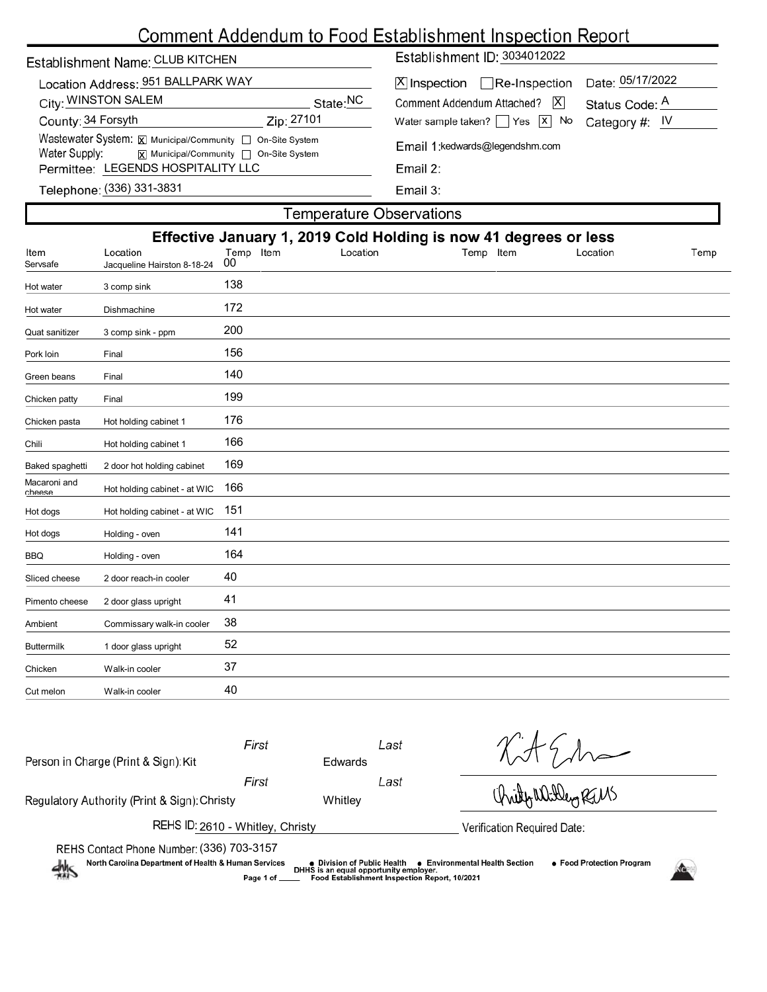# Comment Addendum to Food Establishment Inspection Report

| Establishment Name: CLUB KITCHEN                                                                                                    | Establishment ID: 3034012022                                                                              |  |  |  |  |  |
|-------------------------------------------------------------------------------------------------------------------------------------|-----------------------------------------------------------------------------------------------------------|--|--|--|--|--|
| Location Address: 951 BALLPARK WAY<br>City: WINSTON SALEM<br>State:NC                                                               | Date: 05/17/2022<br>$[X]$ Inspection Re-Inspection<br> X <br>Comment Addendum Attached?<br>Status Code: A |  |  |  |  |  |
| County: 34 Forsyth<br>Zip: 27101                                                                                                    | Water sample taken? $\Box$ Yes $\Box$ No<br>Category #: $IV$                                              |  |  |  |  |  |
| Wastewater System: X Municipal/Community   On-Site System<br>Water Supply: $\overline{x}$ Municipal/Community $\Box$ On-Site System | Email 1: kedwards@legendshm.com<br>Email $2:$<br>Email 3:                                                 |  |  |  |  |  |
| Permittee: LEGENDS HOSPITALITY LLC                                                                                                  |                                                                                                           |  |  |  |  |  |
| Telephone: (336) 331-3831                                                                                                           |                                                                                                           |  |  |  |  |  |
| Γemnerat⊔re Ohservations                                                                                                            |                                                                                                           |  |  |  |  |  |

| <b>I GITIDGI QIUI G'UDJGI VALIUI IJ</b>                          |                                         |                 |  |          |           |          |      |  |  |  |
|------------------------------------------------------------------|-----------------------------------------|-----------------|--|----------|-----------|----------|------|--|--|--|
| Effective January 1, 2019 Cold Holding is now 41 degrees or less |                                         |                 |  |          |           |          |      |  |  |  |
| Item<br>Servsafe                                                 | Location<br>Jacqueline Hairston 8-18-24 | Temp Item<br>00 |  | Location | Temp Item | Location | Temp |  |  |  |
| Hot water                                                        | 3 comp sink                             | 138             |  |          |           |          |      |  |  |  |
| Hot water                                                        | Dishmachine                             | 172             |  |          |           |          |      |  |  |  |
| Quat sanitizer                                                   | 3 comp sink - ppm                       | 200             |  |          |           |          |      |  |  |  |
| Pork loin                                                        | Final                                   | 156             |  |          |           |          |      |  |  |  |
| Green beans                                                      | Final                                   | 140             |  |          |           |          |      |  |  |  |
| Chicken patty                                                    | Final                                   | 199             |  |          |           |          |      |  |  |  |
| Chicken pasta                                                    | Hot holding cabinet 1                   | 176             |  |          |           |          |      |  |  |  |
| Chili                                                            | Hot holding cabinet 1                   | 166             |  |          |           |          |      |  |  |  |
| Baked spaghetti                                                  | 2 door hot holding cabinet              | 169             |  |          |           |          |      |  |  |  |
| Macaroni and<br>cheese                                           | Hot holding cabinet - at WIC            | 166             |  |          |           |          |      |  |  |  |
| Hot dogs                                                         | Hot holding cabinet - at WIC            | 151             |  |          |           |          |      |  |  |  |
| Hot dogs                                                         | Holding - oven                          | 141             |  |          |           |          |      |  |  |  |
| <b>BBQ</b>                                                       | Holding - oven                          | 164             |  |          |           |          |      |  |  |  |
| Sliced cheese                                                    | 2 door reach-in cooler                  | 40              |  |          |           |          |      |  |  |  |
| Pimento cheese                                                   | 2 door glass upright                    | 41              |  |          |           |          |      |  |  |  |
| Ambient                                                          | Commissary walk-in cooler               | 38              |  |          |           |          |      |  |  |  |
| Buttermilk                                                       | 1 door glass upright                    | 52              |  |          |           |          |      |  |  |  |
| Chicken                                                          | Walk-in cooler                          | 37              |  |          |           |          |      |  |  |  |
| Cut melon                                                        | Walk-in cooler                          | 40              |  |          |           |          |      |  |  |  |
|                                                                  |                                         |                 |  |          |           |          |      |  |  |  |

| Person in Charge (Print & Sign): Kit                                                                                 | First           | Edwards                                                               | Last                                          |                                                             |  |  |  |  |
|----------------------------------------------------------------------------------------------------------------------|-----------------|-----------------------------------------------------------------------|-----------------------------------------------|-------------------------------------------------------------|--|--|--|--|
| Regulatory Authority (Print & Sign): Christy                                                                         | First           | Last<br>Whitley                                                       |                                               | Christphaliten RELAS                                        |  |  |  |  |
| REHS ID: 2610 - Whitley, Christy                                                                                     |                 | Verification Required Date:                                           |                                               |                                                             |  |  |  |  |
| REHS Contact Phone Number: (336) 703-3157<br>North Carolina Department of Health & Human Services<br>$\frac{dh}{dt}$ | Page 1 of _____ | ● Division of Public Health<br>DHHS is an equal opportunity employer. | Food Establishment Inspection Report, 10/2021 | • Food Protection Program<br>● Environmental Health Section |  |  |  |  |